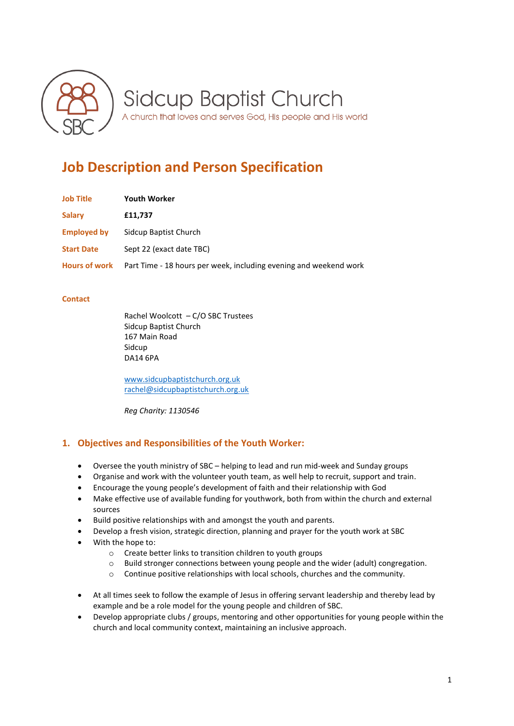

**Sidcup Baptist Church** 

A church that loves and serves God, His people and His world

# **Job Description and Person Specification**

| <b>Job Title</b>     | <b>Youth Worker</b>                                               |
|----------------------|-------------------------------------------------------------------|
| <b>Salary</b>        | £11,737                                                           |
| <b>Employed by</b>   | Sidcup Baptist Church                                             |
| <b>Start Date</b>    | Sept 22 (exact date TBC)                                          |
| <b>Hours of work</b> | Part Time - 18 hours per week, including evening and weekend work |

#### **Contact**

Rachel Woolcott – C/O SBC Trustees Sidcup Baptist Church 167 Main Road Sidcup DA14 6PA

[www.sidcupbaptistchurch.org.uk](http://www.sidcupbaptistchurch.org.uk/) [rachel@sidcupbaptistchurch.org.uk](mailto:rachel@sidcupbaptistchurch.org.uk)

*Reg Charity: 1130546*

# **1. Objectives and Responsibilities of the Youth Worker:**

- Oversee the youth ministry of SBC helping to lead and run mid-week and Sunday groups
- Organise and work with the volunteer youth team, as well help to recruit, support and train.
- Encourage the young people's development of faith and their relationship with God
- Make effective use of available funding for youthwork, both from within the church and external sources
- Build positive relationships with and amongst the youth and parents.
- Develop a fresh vision, strategic direction, planning and prayer for the youth work at SBC
- With the hope to:
	- o Create better links to transition children to youth groups
	- o Build stronger connections between young people and the wider (adult) congregation.
	- o Continue positive relationships with local schools, churches and the community.
- At all times seek to follow the example of Jesus in offering servant leadership and thereby lead by example and be a role model for the young people and children of SBC.
- Develop appropriate clubs / groups, mentoring and other opportunities for young people within the church and local community context, maintaining an inclusive approach.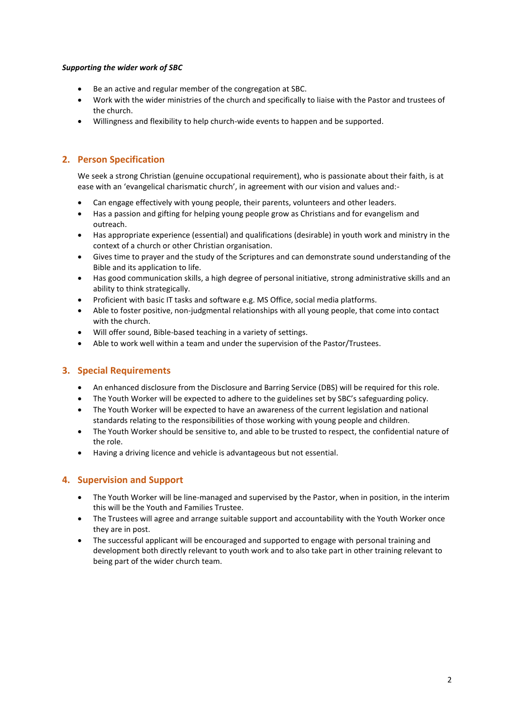#### *Supporting the wider work of SBC*

- Be an active and regular member of the congregation at SBC.
- Work with the wider ministries of the church and specifically to liaise with the Pastor and trustees of the church.
- Willingness and flexibility to help church-wide events to happen and be supported.

# **2. Person Specification**

We seek a strong Christian (genuine occupational requirement), who is passionate about their faith, is at ease with an 'evangelical charismatic church', in agreement with our vision and values and:-

- Can engage effectively with young people, their parents, volunteers and other leaders.
- Has a passion and gifting for helping young people grow as Christians and for evangelism and outreach.
- Has appropriate experience (essential) and qualifications (desirable) in youth work and ministry in the context of a church or other Christian organisation.
- Gives time to prayer and the study of the Scriptures and can demonstrate sound understanding of the Bible and its application to life.
- Has good communication skills, a high degree of personal initiative, strong administrative skills and an ability to think strategically.
- Proficient with basic IT tasks and software e.g. MS Office, social media platforms.
- Able to foster positive, non-judgmental relationships with all young people, that come into contact with the church.
- Will offer sound, Bible-based teaching in a variety of settings.
- Able to work well within a team and under the supervision of the Pastor/Trustees.

## **3. Special Requirements**

- An enhanced disclosure from the Disclosure and Barring Service (DBS) will be required for this role.
- The Youth Worker will be expected to adhere to the guidelines set by SBC's safeguarding policy.
- The Youth Worker will be expected to have an awareness of the current legislation and national standards relating to the responsibilities of those working with young people and children.
- The Youth Worker should be sensitive to, and able to be trusted to respect, the confidential nature of the role.
- Having a driving licence and vehicle is advantageous but not essential.

## **4. Supervision and Support**

- The Youth Worker will be line-managed and supervised by the Pastor, when in position, in the interim this will be the Youth and Families Trustee.
- The Trustees will agree and arrange suitable support and accountability with the Youth Worker once they are in post.
- The successful applicant will be encouraged and supported to engage with personal training and development both directly relevant to youth work and to also take part in other training relevant to being part of the wider church team.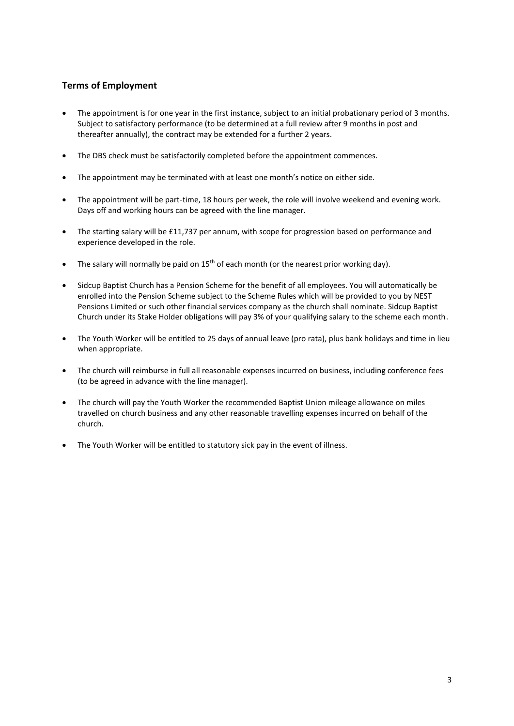# **Terms of Employment**

- The appointment is for one year in the first instance, subject to an initial probationary period of 3 months. Subject to satisfactory performance (to be determined at a full review after 9 months in post and thereafter annually), the contract may be extended for a further 2 years.
- The DBS check must be satisfactorily completed before the appointment commences.
- The appointment may be terminated with at least one month's notice on either side.
- The appointment will be part-time, 18 hours per week, the role will involve weekend and evening work. Days off and working hours can be agreed with the line manager.
- The starting salary will be £11,737 per annum, with scope for progression based on performance and experience developed in the role.
- The salary will normally be paid on  $15<sup>th</sup>$  of each month (or the nearest prior working day).
- Sidcup Baptist Church has a Pension Scheme for the benefit of all employees. You will automatically be enrolled into the Pension Scheme subject to the Scheme Rules which will be provided to you by NEST Pensions Limited or such other financial services company as the church shall nominate. Sidcup Baptist Church under its Stake Holder obligations will pay 3% of your qualifying salary to the scheme each month.
- The Youth Worker will be entitled to 25 days of annual leave (pro rata), plus bank holidays and time in lieu when appropriate.
- The church will reimburse in full all reasonable expenses incurred on business, including conference fees (to be agreed in advance with the line manager).
- The church will pay the Youth Worker the recommended Baptist Union mileage allowance on miles travelled on church business and any other reasonable travelling expenses incurred on behalf of the church.
- The Youth Worker will be entitled to statutory sick pay in the event of illness.